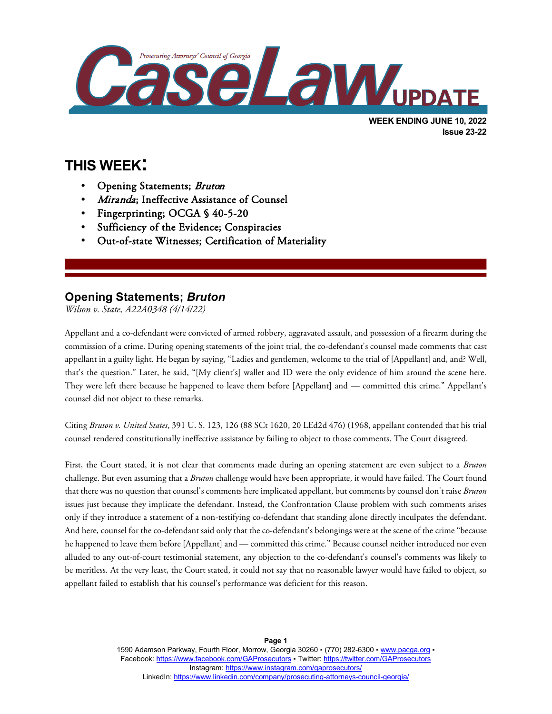

**Issue 23-22**

# **THIS WEEK:**

l

- Opening Statements; Bruton
- Miranda; Ineffective Assistance of Counsel
- Fingerprinting; OCGA § 40-5-20
- Sufficiency of the Evidence; Conspiracies
- Out-of-state Witnesses; Certification of Materiality

### **Opening Statements;** *Bruton*

*Wilson v. State, A22A0348 (4/14/22)*

Appellant and a co-defendant were convicted of armed robbery, aggravated assault, and possession of a firearm during the commission of a crime. During opening statements of the joint trial, the co-defendant's counsel made comments that cast appellant in a guilty light. He began by saying, "Ladies and gentlemen, welcome to the trial of [Appellant] and, and? Well, that's the question." Later, he said, "[My client's] wallet and ID were the only evidence of him around the scene here. They were left there because he happened to leave them before [Appellant] and — committed this crime." Appellant's counsel did not object to these remarks.

Citing *Bruton v. United States*, 391 U. S. 123, 126 (88 SCt 1620, 20 LEd2d 476) (1968, appellant contended that his trial counsel rendered constitutionally ineffective assistance by failing to object to those comments. The Court disagreed.

First, the Court stated, it is not clear that comments made during an opening statement are even subject to a *Bruton* challenge. But even assuming that a *Bruton* challenge would have been appropriate, it would have failed. The Court found that there was no question that counsel's comments here implicated appellant, but comments by counsel don't raise *Bruton* issues just because they implicate the defendant. Instead, the Confrontation Clause problem with such comments arises only if they introduce a statement of a non-testifying co-defendant that standing alone directly inculpates the defendant. And here, counsel for the co-defendant said only that the co-defendant's belongings were at the scene of the crime "because he happened to leave them before [Appellant] and — committed this crime." Because counsel neither introduced nor even alluded to any out-of-court testimonial statement, any objection to the co-defendant's counsel's comments was likely to be meritless. At the very least, the Court stated, it could not say that no reasonable lawyer would have failed to object, so appellant failed to establish that his counsel's performance was deficient for this reason.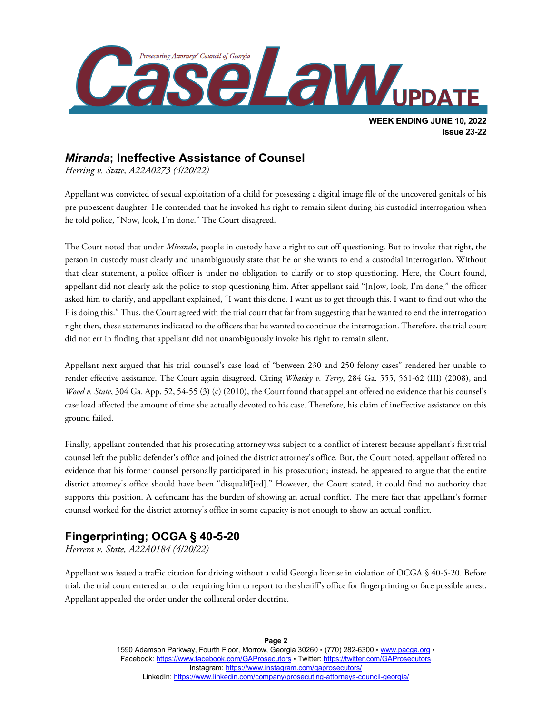

### *Miranda***; Ineffective Assistance of Counsel**

*Herring v. State, A22A0273 (4/20/22)*

Appellant was convicted of sexual exploitation of a child for possessing a digital image file of the uncovered genitals of his pre-pubescent daughter. He contended that he invoked his right to remain silent during his custodial interrogation when he told police, "Now, look, I'm done." The Court disagreed.

The Court noted that under *Miranda*, people in custody have a right to cut off questioning. But to invoke that right, the person in custody must clearly and unambiguously state that he or she wants to end a custodial interrogation. Without that clear statement, a police officer is under no obligation to clarify or to stop questioning. Here, the Court found, appellant did not clearly ask the police to stop questioning him. After appellant said "[n]ow, look, I'm done," the officer asked him to clarify, and appellant explained, "I want this done. I want us to get through this. I want to find out who the F is doing this." Thus, the Court agreed with the trial court that far from suggesting that he wanted to end the interrogation right then, these statements indicated to the officers that he wanted to continue the interrogation. Therefore, the trial court did not err in finding that appellant did not unambiguously invoke his right to remain silent.

Appellant next argued that his trial counsel's case load of "between 230 and 250 felony cases" rendered her unable to render effective assistance. The Court again disagreed. Citing *Whatley v. Terry*, 284 Ga. 555, 561-62 (III) (2008), and *Wood v. State*, 304 Ga. App. 52, 54-55 (3) (c) (2010), the Court found that appellant offered no evidence that his counsel's case load affected the amount of time she actually devoted to his case. Therefore, his claim of ineffective assistance on this ground failed.

Finally, appellant contended that his prosecuting attorney was subject to a conflict of interest because appellant's first trial counsel left the public defender's office and joined the district attorney's office. But, the Court noted, appellant offered no evidence that his former counsel personally participated in his prosecution; instead, he appeared to argue that the entire district attorney's office should have been "disqualif[ied]." However, the Court stated, it could find no authority that supports this position. A defendant has the burden of showing an actual conflict. The mere fact that appellant's former counsel worked for the district attorney's office in some capacity is not enough to show an actual conflict.

## **Fingerprinting; OCGA § 40-5-20**

*Herrera v. State, A22A0184 (4/20/22)*

Appellant was issued a traffic citation for driving without a valid Georgia license in violation of OCGA § 40-5-20. Before trial, the trial court entered an order requiring him to report to the sheriff's office for fingerprinting or face possible arrest. Appellant appealed the order under the collateral order doctrine.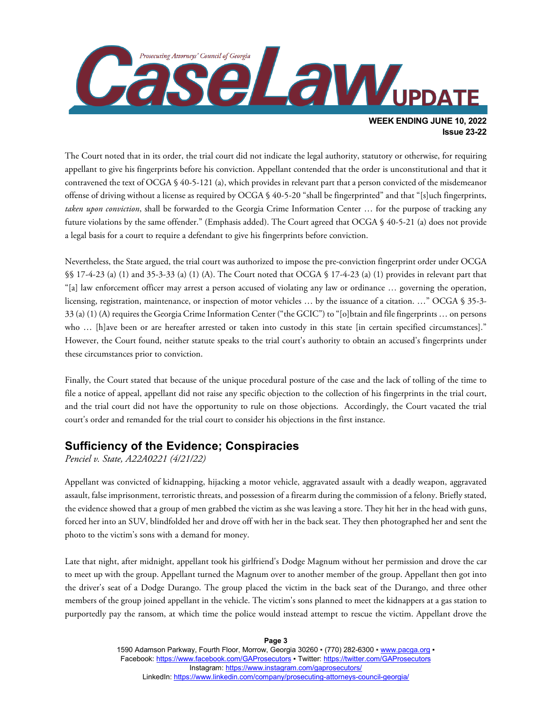

The Court noted that in its order, the trial court did not indicate the legal authority, statutory or otherwise, for requiring appellant to give his fingerprints before his conviction. Appellant contended that the order is unconstitutional and that it contravened the text of OCGA § 40-5-121 (a), which provides in relevant part that a person convicted of the misdemeanor offense of driving without a license as required by OCGA § 40-5-20 "shall be fingerprinted" and that "[s]uch fingerprints, *taken upon conviction*, shall be forwarded to the Georgia Crime Information Center … for the purpose of tracking any future violations by the same offender." (Emphasis added). The Court agreed that OCGA § 40-5-21 (a) does not provide a legal basis for a court to require a defendant to give his fingerprints before conviction.

Nevertheless, the State argued, the trial court was authorized to impose the pre-conviction fingerprint order under OCGA §§ 17-4-23 (a) (1) and 35-3-33 (a) (1) (A). The Court noted that OCGA § 17-4-23 (a) (1) provides in relevant part that "[a] law enforcement officer may arrest a person accused of violating any law or ordinance … governing the operation, licensing, registration, maintenance, or inspection of motor vehicles … by the issuance of a citation. …" OCGA § 35-3- 33 (a) (1) (A) requires the Georgia Crime Information Center ("the GCIC") to "[o]btain and file fingerprints … on persons who ... [h]ave been or are hereafter arrested or taken into custody in this state [in certain specified circumstances]." However, the Court found, neither statute speaks to the trial court's authority to obtain an accused's fingerprints under these circumstances prior to conviction.

Finally, the Court stated that because of the unique procedural posture of the case and the lack of tolling of the time to file a notice of appeal, appellant did not raise any specific objection to the collection of his fingerprints in the trial court, and the trial court did not have the opportunity to rule on those objections. Accordingly, the Court vacated the trial court's order and remanded for the trial court to consider his objections in the first instance.

### **Sufficiency of the Evidence; Conspiracies**

*Penciel v. State, A22A0221 (4/21/22)*

Appellant was convicted of kidnapping, hijacking a motor vehicle, aggravated assault with a deadly weapon, aggravated assault, false imprisonment, terroristic threats, and possession of a firearm during the commission of a felony. Briefly stated, the evidence showed that a group of men grabbed the victim as she was leaving a store. They hit her in the head with guns, forced her into an SUV, blindfolded her and drove off with her in the back seat. They then photographed her and sent the photo to the victim's sons with a demand for money.

Late that night, after midnight, appellant took his girlfriend's Dodge Magnum without her permission and drove the car to meet up with the group. Appellant turned the Magnum over to another member of the group. Appellant then got into the driver's seat of a Dodge Durango. The group placed the victim in the back seat of the Durango, and three other members of the group joined appellant in the vehicle. The victim's sons planned to meet the kidnappers at a gas station to purportedly pay the ransom, at which time the police would instead attempt to rescue the victim. Appellant drove the

**Page 3**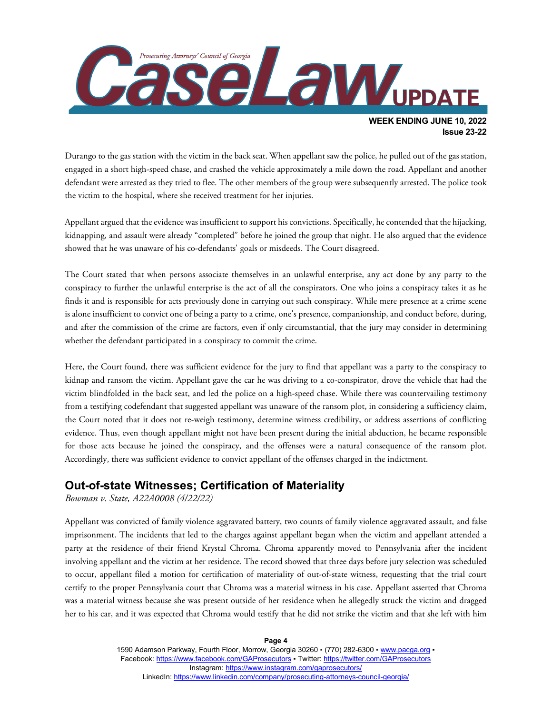

Durango to the gas station with the victim in the back seat. When appellant saw the police, he pulled out of the gas station, engaged in a short high-speed chase, and crashed the vehicle approximately a mile down the road. Appellant and another defendant were arrested as they tried to flee. The other members of the group were subsequently arrested. The police took the victim to the hospital, where she received treatment for her injuries.

Appellant argued that the evidence was insufficient to support his convictions. Specifically, he contended that the hijacking, kidnapping, and assault were already "completed" before he joined the group that night. He also argued that the evidence showed that he was unaware of his co-defendants' goals or misdeeds. The Court disagreed.

The Court stated that when persons associate themselves in an unlawful enterprise, any act done by any party to the conspiracy to further the unlawful enterprise is the act of all the conspirators. One who joins a conspiracy takes it as he finds it and is responsible for acts previously done in carrying out such conspiracy. While mere presence at a crime scene is alone insufficient to convict one of being a party to a crime, one's presence, companionship, and conduct before, during, and after the commission of the crime are factors, even if only circumstantial, that the jury may consider in determining whether the defendant participated in a conspiracy to commit the crime.

Here, the Court found, there was sufficient evidence for the jury to find that appellant was a party to the conspiracy to kidnap and ransom the victim. Appellant gave the car he was driving to a co-conspirator, drove the vehicle that had the victim blindfolded in the back seat, and led the police on a high-speed chase. While there was countervailing testimony from a testifying codefendant that suggested appellant was unaware of the ransom plot, in considering a sufficiency claim, the Court noted that it does not re-weigh testimony, determine witness credibility, or address assertions of conflicting evidence. Thus, even though appellant might not have been present during the initial abduction, he became responsible for those acts because he joined the conspiracy, and the offenses were a natural consequence of the ransom plot. Accordingly, there was sufficient evidence to convict appellant of the offenses charged in the indictment.

### **Out-of-state Witnesses; Certification of Materiality**

*Bowman v. State, A22A0008 (4/22/22)*

Appellant was convicted of family violence aggravated battery, two counts of family violence aggravated assault, and false imprisonment. The incidents that led to the charges against appellant began when the victim and appellant attended a party at the residence of their friend Krystal Chroma. Chroma apparently moved to Pennsylvania after the incident involving appellant and the victim at her residence. The record showed that three days before jury selection was scheduled to occur, appellant filed a motion for certification of materiality of out-of-state witness, requesting that the trial court certify to the proper Pennsylvania court that Chroma was a material witness in his case. Appellant asserted that Chroma was a material witness because she was present outside of her residence when he allegedly struck the victim and dragged her to his car, and it was expected that Chroma would testify that he did not strike the victim and that she left with him

**Page 4**